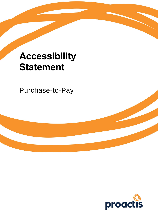# **Accessibility Statement**

Purchase-to-Pay

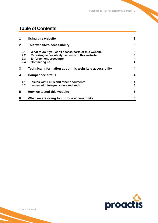# **Table of Contents**

| 1            | <b>Using this website</b>                                | 3 |
|--------------|----------------------------------------------------------|---|
| $\mathbf{2}$ | This website's accessibility                             | 3 |
| 2.1          | What to do if you can't access parts of this website     | 3 |
| 2.2          | Reporting accessibility issues with this website         | 3 |
| 2.3          | <b>Enforcement procedure</b>                             | 4 |
| 2.4          | <b>Contacting us</b>                                     | 4 |
| 3            | Technical information about this website's accessibility | 4 |
| 4            | <b>Compliance status</b>                                 | 4 |
| 4.1          | <b>Issues with PDFs and other documents</b>              | 4 |
| 4.2          | Issues with images, video and audio                      | 5 |
| 5            | How we tested this website                               | 5 |
| 6            | What we are doing to improve accessibility               | 5 |

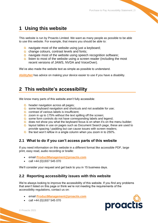## <span id="page-2-0"></span>**1 Using this website**

This website is run by Proactis Limited. We want as many people as possible to be able to use this website. For example, that means you should be able to:

- **the navigate most of the website using just a keyboard;**
- **C** change colours, contrast levels and fonts;
- **the navigate most of the website using speech recognition software;**
- **C** listen to most of the website using a screen reader (including the most recent versions of JAWS, NVDA and VoiceOver).

We've also made the website text as simple as possible to understand.

<span id="page-2-1"></span>**[AbilityNet](https://mcmw.abilitynet.org.uk/)** has advice on making your device easier to use if you have a disability.

### **2 This website's accessibility**

We know many parts of this website aren't fully accessible:

- **theader navigation across all pages;**
- **C** some keyboard navigation and shortcuts and not available for use;
- Contrast of various labels is insufficient;
- $\bullet$  zoom in up to 175% without the text spilling off the screen;
- **the some form controls do not have corresponding labels and legend;**
- **th** does not show you what the keyboard focus is on when it's on the menu builder;
- **C** layout tables in use on pages such as Document Search page, these are used to provide spacing / padding but can cause issues with screen readers;
- **the text won't reflow in a single column when you zoom in to 250%.**

#### <span id="page-2-2"></span>**2.1 What to do if you can't access parts of this website**

If you need information on this website in a different format like accessible PDF, large print, easy read, audio recording or braille:

- email **[ProductManagement@proactis.com](mailto:ProductManagement@proactis.com)**
- call +44 (0)1937 545 070

We'll consider your request and get back to you in 15 business days.

#### <span id="page-2-3"></span>**2.2 Reporting accessibility issues with this website**

We're always looking to improve the accessibility of this website. If you find any problems that aren't listed on this page or think we're not meeting the requirements of the accessibility regulations, contact us on:

- email **[ProductManagement@proactis.com](mailto:ProductManagement@proactis.com)**
- call +44 (0)1937 545 070

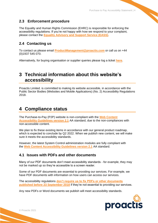#### <span id="page-3-0"></span>**2.3 Enforcement procedure**

The Equality and Human Rights Commission (EHRC) is responsible for enforcing the accessibility regulations. If you're not happy with how we respond to your complaint, please contact the **[Equality Advisory and Support Service \(EASS\)](https://www.equalityadvisoryservice.com/)**.

#### <span id="page-3-1"></span>**2.4 Contacting us**

To contact us please email **[ProductManagement@proactis.com](mailto:ProductManagement@proactis.com)** or call us on +44 (0)1937 545 070.

<span id="page-3-2"></span>Alternatively, for buying organisation or supplier queries please log a ticket **[here](https://proactisservicedesk.com/CherwellPortal)**.

## **3 Technical information about this website's accessibility**

Proactis Limited. is committed to making its website accessible, in accordance with the Public Sector Bodies (Websites and Mobile Applications) (No. 2) Accessibility Regulations 2018.

## <span id="page-3-3"></span>**4 Compliance status**

The Purchase-to-Pay (P2P) website is non-compliant with the **[Web Content](https://www.w3.org/TR/WCAG21/)  [Accessibility Guidelines version 2.1](https://www.w3.org/TR/WCAG21/)** AA standard, due to the non-compliances with non-accessible content.

We plan to fix these existing items in accordance with our general product roadmap, which is expected to conclude by Q2 2022. When we publish new content, we will make sure it meets the accessibility standards.

However, the latest System Control administration modules are fully compliant with the **[Web Content Accessibility Guidelines version 2.1](https://www.w3.org/TR/WCAG21/)** AA standard.

#### <span id="page-3-4"></span>**4.1 Issues with PDFs and other documents**

Many of our PDF documents don't meet accessibility standards - for example, they may not be marked up so they're accessible to a screen reader.

Some of our PDF documents are essential to providing our services. For example, we have PDF documents with information on how users can access our services.

The accessibility regulations **[don't require us to fix PDFs or other documents](http://www.legislation.gov.uk/uksi/2018/952/regulation/4/made)  [published before 23 September 2018](http://www.legislation.gov.uk/uksi/2018/952/regulation/4/made)** if they're not essential to providing our services.

Any new PDFs or Word documents we publish will meet accessibility standards.